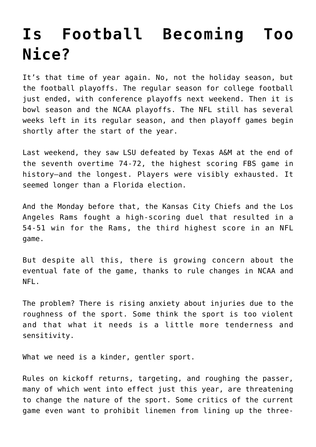## **[Is Football Becoming Too](https://intellectualtakeout.org/2018/11/is-football-becoming-too-nice/) [Nice?](https://intellectualtakeout.org/2018/11/is-football-becoming-too-nice/)**

It's that time of year again. No, not the holiday season, but the football playoffs. The regular season for college football just ended, with conference playoffs next weekend. Then it is bowl season and the NCAA playoffs. The NFL still has several weeks left in its regular season, and then playoff games begin shortly after the start of the year.

Last weekend, they saw LSU defeated by Texas A&M at the end of the seventh overtime 74-72, the highest scoring FBS game in history–and the longest. Players were visibly exhausted. It seemed longer than a Florida election.

And the Monday before that, the Kansas City Chiefs and the Los Angeles Rams fought a high-scoring duel that resulted in a 54-51 win for the Rams, the third highest score in an NFL game.

But despite all this, there is growing concern about the eventual fate of the game, thanks to rule changes in NCAA and NFL.

The problem? There is rising anxiety about injuries due to the roughness of the sport. Some think the sport is too violent and that what it needs is a little more tenderness and sensitivity.

What we need is a kinder, gentler sport.

Rules on kickoff returns, targeting, and roughing the passer, many of which went into effect just this year, are threatening to change the nature of the sport. Some critics of the current game even want to prohibit linemen from lining up the three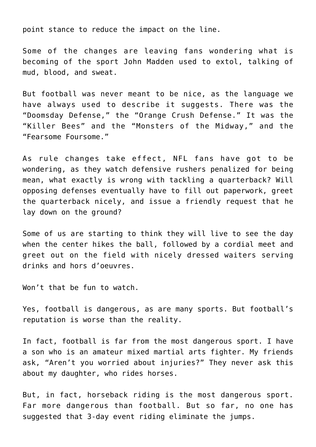point stance to reduce the impact on the line.

Some of the changes are leaving fans wondering what is becoming of the sport John Madden used to extol, talking of mud, blood, and sweat.

But football was never meant to be nice, as the language we have always used to describe it suggests. There was the "Doomsday Defense," the "Orange Crush Defense." It was the "Killer Bees" and the "Monsters of the Midway," and the "Fearsome Foursome."

As rule changes take effect, NFL fans have got to be wondering, as they watch defensive rushers penalized for being mean, what exactly is wrong with tackling a quarterback? Will opposing defenses eventually have to fill out paperwork, greet the quarterback nicely, and issue a friendly request that he lay down on the ground?

Some of us are starting to think they will live to see the day when the center hikes the ball, followed by a cordial meet and greet out on the field with nicely dressed waiters serving drinks and hors d'oeuvres.

Won't that be fun to watch.

Yes, football is dangerous, as are many sports. But football's reputation is worse than the reality.

In fact, football is far from the most dangerous sport. I have a son who is an amateur mixed martial arts fighter. My friends ask, "Aren't you worried about injuries?" They never ask this about my daughter, who rides horses.

But, in fact, horseback riding is the most dangerous sport. Far more dangerous than football. But so far, no one has suggested that 3-day event riding eliminate the jumps.